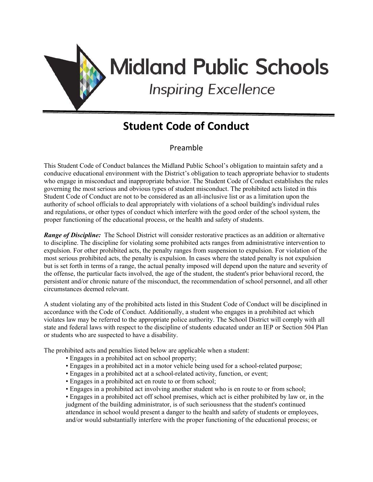

# **Midland Public Schools**

**Inspiring Excellence** 

# **Student Code of Conduct**

# Preamble

This Student Code of Conduct balances the Midland Public School's obligation to maintain safety and a conducive educational environment with the District's obligation to teach appropriate behavior to students who engage in misconduct and inappropriate behavior. The Student Code of Conduct establishes the rules governing the most serious and obvious types of student misconduct. The prohibited acts listed in this Student Code of Conduct are not to be considered as an all-inclusive list or as a limitation upon the authority of school officials to deal appropriately with violations of a school building's individual rules and regulations, or other types of conduct which interfere with the good order of the school system, the proper functioning of the educational process, or the health and safety of students.

*Range of Discipline:* The School District will consider restorative practices as an addition or alternative to discipline. The discipline for violating some prohibited acts ranges from administrative intervention to expulsion. For other prohibited acts, the penalty ranges from suspension to expulsion. For violation of the most serious prohibited acts, the penalty is expulsion. In cases where the stated penalty is not expulsion but is set forth in terms of a range, the actual penalty imposed will depend upon the nature and severity of the offense, the particular facts involved, the age of the student, the student's prior behavioral record, the persistent and/or chronic nature of the misconduct, the recommendation of school personnel, and all other circumstances deemed relevant.

A student violating any of the prohibited acts listed in this Student Code of Conduct will be disciplined in accordance with the Code of Conduct. Additionally, a student who engages in a prohibited act which violates law may be referred to the appropriate police authority. The School District will comply with all state and federal laws with respect to the discipline of students educated under an IEP or Section 504 Plan or students who are suspected to have a disability.

The prohibited acts and penalties listed below are applicable when a student:

- Engages in a prohibited act on school property;
- Engages in a prohibited act in a motor vehicle being used for a school-related purpose;
- Engages in a prohibited act at a school-related activity, function, or event;
- Engages in a prohibited act en route to or from school;
- Engages in a prohibited act involving another student who is en route to or from school;

• Engages in a prohibited act off school premises, which act is either prohibited by law or, in the judgment of the building administrator, is of such seriousness that the student's continued attendance in school would present a danger to the health and safety of students or employees, and/or would substantially interfere with the proper functioning of the educational process; or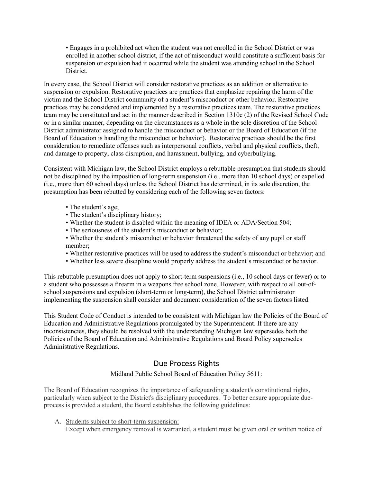• Engages in a prohibited act when the student was not enrolled in the School District or was enrolled in another school district, if the act of misconduct would constitute a sufficient basis for suspension or expulsion had it occurred while the student was attending school in the School District.

In every case, the School District will consider restorative practices as an addition or alternative to suspension or expulsion. Restorative practices are practices that emphasize repairing the harm of the victim and the School District community of a student's misconduct or other behavior. Restorative practices may be considered and implemented by a restorative practices team. The restorative practices team may be constituted and act in the manner described in Section 1310c (2) of the Revised School Code or in a similar manner, depending on the circumstances as a whole in the sole discretion of the School District administrator assigned to handle the misconduct or behavior or the Board of Education (if the Board of Education is handling the misconduct or behavior). Restorative practices should be the first consideration to remediate offenses such as interpersonal conflicts, verbal and physical conflicts, theft, and damage to property, class disruption, and harassment, bullying, and cyberbullying.

Consistent with Michigan law, the School District employs a rebuttable presumption that students should not be disciplined by the imposition of long-term suspension (i.e., more than 10 school days) or expelled (i.e., more than 60 school days) unless the School District has determined, in its sole discretion, the presumption has been rebutted by considering each of the following seven factors:

- The student's age;
- The student's disciplinary history;
- Whether the student is disabled within the meaning of IDEA or ADA/Section 504;
- The seriousness of the student's misconduct or behavior;
- Whether the student's misconduct or behavior threatened the safety of any pupil or staff member;
- Whether restorative practices will be used to address the student's misconduct or behavior; and
- Whether less severe discipline would properly address the student's misconduct or behavior.

This rebuttable presumption does not apply to short-term suspensions (i.e., 10 school days or fewer) or to a student who possesses a firearm in a weapons free school zone. However, with respect to all out-ofschool suspensions and expulsion (short-term or long-term), the School District administrator implementing the suspension shall consider and document consideration of the seven factors listed.

This Student Code of Conduct is intended to be consistent with Michigan law the Policies of the Board of Education and Administrative Regulations promulgated by the Superintendent. If there are any inconsistencies, they should be resolved with the understanding Michigan law supersedes both the Policies of the Board of Education and Administrative Regulations and Board Policy supersedes Administrative Regulations.

## Due Process Rights

#### Midland Public School Board of Education Policy 5611:

The Board of Education recognizes the importance of safeguarding a student's constitutional rights, particularly when subject to the District's disciplinary procedures. To better ensure appropriate dueprocess is provided a student, the Board establishes the following guidelines:

A. Students subject to short-term suspension: Except when emergency removal is warranted, a student must be given oral or written notice of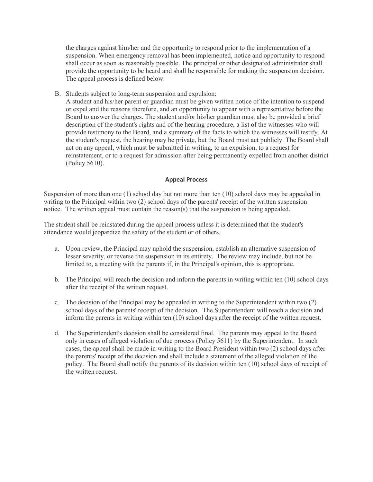the charges against him/her and the opportunity to respond prior to the implementation of a suspension. When emergency removal has been implemented, notice and opportunity to respond shall occur as soon as reasonably possible. The principal or other designated administrator shall provide the opportunity to be heard and shall be responsible for making the suspension decision. The appeal process is defined below.

B. Students subject to long-term suspension and expulsion:

A student and his/her parent or guardian must be given written notice of the intention to suspend or expel and the reasons therefore, and an opportunity to appear with a representative before the Board to answer the charges. The student and/or his/her guardian must also be provided a brief description of the student's rights and of the hearing procedure, a list of the witnesses who will provide testimony to the Board, and a summary of the facts to which the witnesses will testify. At the student's request, the hearing may be private, but the Board must act publicly. The Board shall act on any appeal, which must be submitted in writing, to an expulsion, to a request for reinstatement, or to a request for admission after being permanently expelled from another district (Policy 5610).

#### **Appeal Process**

Suspension of more than one (1) school day but not more than ten (10) school days may be appealed in writing to the Principal within two (2) school days of the parents' receipt of the written suspension notice. The written appeal must contain the reason(s) that the suspension is being appealed.

The student shall be reinstated during the appeal process unless it is determined that the student's attendance would jeopardize the safety of the student or of others.

- a. Upon review, the Principal may uphold the suspension, establish an alternative suspension of lesser severity, or reverse the suspension in its entirety. The review may include, but not be limited to, a meeting with the parents if, in the Principal's opinion, this is appropriate.
- b. The Principal will reach the decision and inform the parents in writing within ten (10) school days after the receipt of the written request.
- c. The decision of the Principal may be appealed in writing to the Superintendent within two (2) school days of the parents' receipt of the decision. The Superintendent will reach a decision and inform the parents in writing within ten (10) school days after the receipt of the written request.
- d. The Superintendent's decision shall be considered final. The parents may appeal to the Board only in cases of alleged violation of due process (Policy 5611) by the Superintendent. In such cases, the appeal shall be made in writing to the Board President within two (2) school days after the parents' receipt of the decision and shall include a statement of the alleged violation of the policy. The Board shall notify the parents of its decision within ten (10) school days of receipt of the written request.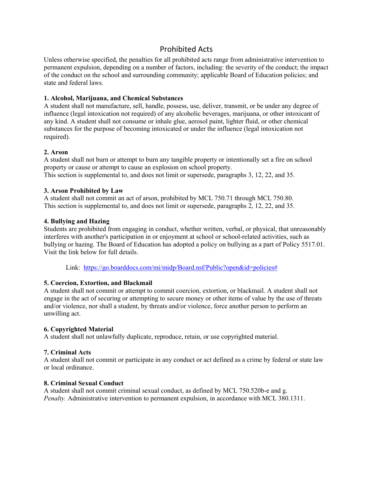### Prohibited Acts

Unless otherwise specified, the penalties for all prohibited acts range from administrative intervention to permanent expulsion, depending on a number of factors, including: the severity of the conduct; the impact of the conduct on the school and surrounding community; applicable Board of Education policies; and state and federal laws.

#### **1. Alcohol, Marijuana, and Chemical Substances**

A student shall not manufacture, sell, handle, possess, use, deliver, transmit, or be under any degree of influence (legal intoxication not required) of any alcoholic beverages, marijuana, or other intoxicant of any kind. A student shall not consume or inhale glue, aerosol paint, lighter fluid, or other chemical substances for the purpose of becoming intoxicated or under the influence (legal intoxication not required).

#### **2. Arson**

A student shall not burn or attempt to burn any tangible property or intentionally set a fire on school property or cause or attempt to cause an explosion on school property. This section is supplemental to, and does not limit or supersede, paragraphs 3, 12, 22, and 35.

#### **3. Arson Prohibited by Law**

A student shall not commit an act of arson, prohibited by MCL 750.71 through MCL 750.80. This section is supplemental to, and does not limit or supersede, paragraphs 2, 12, 22, and 35.

#### **4. Bullying and Hazing**

Students are prohibited from engaging in conduct, whether written, verbal, or physical, that unreasonably interferes with another's participation in or enjoyment at school or school-related activities, such as bullying or hazing. The Board of Education has adopted a policy on bullying as a part of Policy 5517.01. Visit the link below for full details.

Link: [https://go.boarddocs.com/mi/midp/Board.nsf/Public?open&id=policies#](https://go.boarddocs.com/mi/midp/Board.nsf/Public?open&id=policies)

#### **5. Coercion, Extortion, and Blackmail**

A student shall not commit or attempt to commit coercion, extortion, or blackmail. A student shall not engage in the act of securing or attempting to secure money or other items of value by the use of threats and/or violence, nor shall a student, by threats and/or violence, force another person to perform an unwilling act.

#### **6. Copyrighted Material**

A student shall not unlawfully duplicate, reproduce, retain, or use copyrighted material.

#### **7. Criminal Acts**

A student shall not commit or participate in any conduct or act defined as a crime by federal or state law or local ordinance.

#### **8. Criminal Sexual Conduct**

A student shall not commit criminal sexual conduct, as defined by MCL 750.520b-e and g. *Penalty.* Administrative intervention to permanent expulsion, in accordance with MCL 380.1311.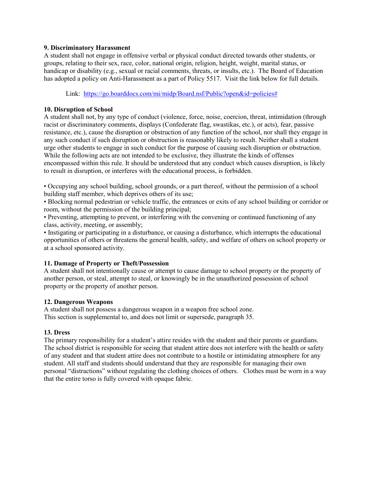#### **9. Discriminatory Harassment**

A student shall not engage in offensive verbal or physical conduct directed towards other students, or groups, relating to their sex, race, color, national origin, religion, height, weight, marital status, or handicap or disability (e.g., sexual or racial comments, threats, or insults, etc.). The Board of Education has adopted a policy on Anti-Harassment as a part of Policy 5517. Visit the link below for full details.

Link: [https://go.boarddocs.com/mi/midp/Board.nsf/Public?open&id=policies#](https://go.boarddocs.com/mi/midp/Board.nsf/Public?open&id=policies)

#### **10. Disruption of School**

A student shall not, by any type of conduct (violence, force, noise, coercion, threat, intimidation (through racist or discriminatory comments, displays (Confederate flag, swastikas, etc.), or acts), fear, passive resistance, etc.), cause the disruption or obstruction of any function of the school, nor shall they engage in any such conduct if such disruption or obstruction is reasonably likely to result. Neither shall a student urge other students to engage in such conduct for the purpose of causing such disruption or obstruction. While the following acts are not intended to be exclusive, they illustrate the kinds of offenses encompassed within this rule. It should be understood that any conduct which causes disruption, is likely to result in disruption, or interferes with the educational process, is forbidden.

• Occupying any school building, school grounds, or a part thereof, without the permission of a school building staff member, which deprives others of its use;

• Blocking normal pedestrian or vehicle traffic, the entrances or exits of any school building or corridor or room, without the permission of the building principal;

• Preventing, attempting to prevent, or interfering with the convening or continued functioning of any class, activity, meeting, or assembly;

• Instigating or participating in a disturbance, or causing a disturbance, which interrupts the educational opportunities of others or threatens the general health, safety, and welfare of others on school property or at a school sponsored activity.

#### **11. Damage of Property or Theft/Possession**

A student shall not intentionally cause or attempt to cause damage to school property or the property of another person, or steal, attempt to steal, or knowingly be in the unauthorized possession of school property or the property of another person.

#### **12. Dangerous Weapons**

A student shall not possess a dangerous weapon in a weapon free school zone. This section is supplemental to, and does not limit or supersede, paragraph 35.

#### **13. Dress**

The primary responsibility for a student's attire resides with the student and their parents or guardians. The school district is responsible for seeing that student attire does not interfere with the health or safety of any student and that student attire does not contribute to a hostile or intimidating atmosphere for any student. All staff and students should understand that they are responsible for managing their own personal "distractions" without regulating the clothing choices of others. Clothes must be worn in a way that the entire torso is fully covered with opaque fabric.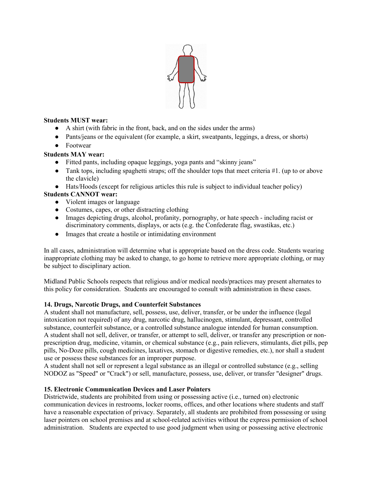

#### **Students MUST wear:**

- A shirt (with fabric in the front, back, and on the sides under the arms)
- Pants/jeans or the equivalent (for example, a skirt, sweatpants, leggings, a dress, or shorts)
- Footwear

#### **Students MAY wear:**

- Fitted pants, including opaque leggings, yoga pants and "skinny jeans"
- Tank tops, including spaghetti straps; off the shoulder tops that meet criteria #1. (up to or above the clavicle)
- Hats/Hoods (except for religious articles this rule is subject to individual teacher policy)

#### **Students CANNOT wear:**

- Violent images or language
- Costumes, capes, or other distracting clothing
- Images depicting drugs, alcohol, profanity, pornography, or hate speech including racist or discriminatory comments, displays, or acts (e.g. the Confederate flag, swastikas, etc.)
- Images that create a hostile or intimidating environment

In all cases, administration will determine what is appropriate based on the dress code. Students wearing inappropriate clothing may be asked to change, to go home to retrieve more appropriate clothing, or may be subject to disciplinary action.

Midland Public Schools respects that religious and/or medical needs/practices may present alternates to this policy for consideration. Students are encouraged to consult with administration in these cases.

#### **14. Drugs, Narcotic Drugs, and Counterfeit Substances**

A student shall not manufacture, sell, possess, use, deliver, transfer, or be under the influence (legal intoxication not required) of any drug, narcotic drug, hallucinogen, stimulant, depressant, controlled substance, counterfeit substance, or a controlled substance analogue intended for human consumption. A student shall not sell, deliver, or transfer, or attempt to sell, deliver, or transfer any prescription or nonprescription drug, medicine, vitamin, or chemical substance (e.g., pain relievers, stimulants, diet pills, pep pills, No-Doze pills, cough medicines, laxatives, stomach or digestive remedies, etc.), nor shall a student use or possess these substances for an improper purpose.

A student shall not sell or represent a legal substance as an illegal or controlled substance (e.g., selling NODOZ as "Speed" or "Crack") or sell, manufacture, possess, use, deliver, or transfer "designer" drugs.

#### **15. Electronic Communication Devices and Laser Pointers**

Districtwide, students are prohibited from using or possessing active (i.e., turned on) electronic communication devices in restrooms, locker rooms, offices, and other locations where students and staff have a reasonable expectation of privacy. Separately, all students are prohibited from possessing or using laser pointers on school premises and at school-related activities without the express permission of school administration. Students are expected to use good judgment when using or possessing active electronic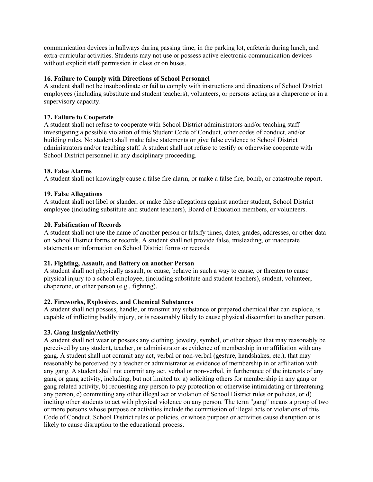communication devices in hallways during passing time, in the parking lot, cafeteria during lunch, and extra-curricular activities. Students may not use or possess active electronic communication devices without explicit staff permission in class or on buses.

#### **16. Failure to Comply with Directions of School Personnel**

A student shall not be insubordinate or fail to comply with instructions and directions of School District employees (including substitute and student teachers), volunteers, or persons acting as a chaperone or in a supervisory capacity.

#### **17. Failure to Cooperate**

A student shall not refuse to cooperate with School District administrators and/or teaching staff investigating a possible violation of this Student Code of Conduct, other codes of conduct, and/or building rules. No student shall make false statements or give false evidence to School District administrators and/or teaching staff. A student shall not refuse to testify or otherwise cooperate with School District personnel in any disciplinary proceeding.

#### **18. False Alarms**

A student shall not knowingly cause a false fire alarm, or make a false fire, bomb, or catastrophe report.

#### **19. False Allegations**

A student shall not libel or slander, or make false allegations against another student, School District employee (including substitute and student teachers), Board of Education members, or volunteers.

#### **20. Falsification of Records**

A student shall not use the name of another person or falsify times, dates, grades, addresses, or other data on School District forms or records. A student shall not provide false, misleading, or inaccurate statements or information on School District forms or records.

#### **21. Fighting, Assault, and Battery on another Person**

A student shall not physically assault, or cause, behave in such a way to cause, or threaten to cause physical injury to a school employee, (including substitute and student teachers), student, volunteer, chaperone, or other person (e.g., fighting).

#### **22. Fireworks, Explosives, and Chemical Substances**

A student shall not possess, handle, or transmit any substance or prepared chemical that can explode, is capable of inflicting bodily injury, or is reasonably likely to cause physical discomfort to another person.

#### **23. Gang Insignia/Activity**

A student shall not wear or possess any clothing, jewelry, symbol, or other object that may reasonably be perceived by any student, teacher, or administrator as evidence of membership in or affiliation with any gang. A student shall not commit any act, verbal or non-verbal (gesture, handshakes, etc.), that may reasonably be perceived by a teacher or administrator as evidence of membership in or affiliation with any gang. A student shall not commit any act, verbal or non-verbal, in furtherance of the interests of any gang or gang activity, including, but not limited to: a) soliciting others for membership in any gang or gang related activity, b) requesting any person to pay protection or otherwise intimidating or threatening any person, c) committing any other illegal act or violation of School District rules or policies, or d) inciting other students to act with physical violence on any person. The term "gang" means a group of two or more persons whose purpose or activities include the commission of illegal acts or violations of this Code of Conduct, School District rules or policies, or whose purpose or activities cause disruption or is likely to cause disruption to the educational process.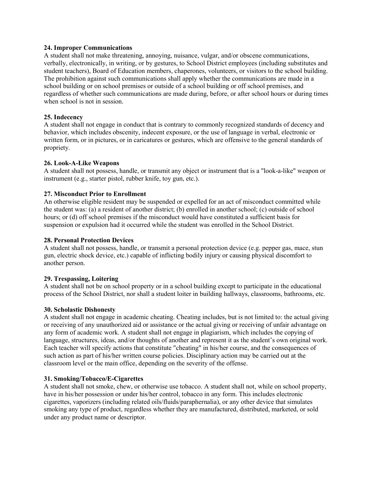#### **24. Improper Communications**

A student shall not make threatening, annoying, nuisance, vulgar, and/or obscene communications, verbally, electronically, in writing, or by gestures, to School District employees (including substitutes and student teachers), Board of Education members, chaperones, volunteers, or visitors to the school building. The prohibition against such communications shall apply whether the communications are made in a school building or on school premises or outside of a school building or off school premises, and regardless of whether such communications are made during, before, or after school hours or during times when school is not in session.

#### **25. Indecency**

A student shall not engage in conduct that is contrary to commonly recognized standards of decency and behavior, which includes obscenity, indecent exposure, or the use of language in verbal, electronic or written form, or in pictures, or in caricatures or gestures, which are offensive to the general standards of propriety.

#### **26. Look-A-Like Weapons**

A student shall not possess, handle, or transmit any object or instrument that is a "look-a-like" weapon or instrument (e.g., starter pistol, rubber knife, toy gun, etc.).

#### **27. Misconduct Prior to Enrollment**

An otherwise eligible resident may be suspended or expelled for an act of misconduct committed while the student was: (a) a resident of another district; (b) enrolled in another school; (c) outside of school hours; or (d) off school premises if the misconduct would have constituted a sufficient basis for suspension or expulsion had it occurred while the student was enrolled in the School District.

#### **28. Personal Protection Devices**

A student shall not possess, handle, or transmit a personal protection device (e.g. pepper gas, mace, stun gun, electric shock device, etc.) capable of inflicting bodily injury or causing physical discomfort to another person.

#### **29. Trespassing, Loitering**

A student shall not be on school property or in a school building except to participate in the educational process of the School District, nor shall a student loiter in building hallways, classrooms, bathrooms, etc.

#### **30. Scholastic Dishonesty**

A student shall not engage in academic cheating. Cheating includes, but is not limited to: the actual giving or receiving of any unauthorized aid or assistance or the actual giving or receiving of unfair advantage on any form of academic work. A student shall not engage in plagiarism, which includes the copying of language, structures, ideas, and/or thoughts of another and represent it as the student's own original work. Each teacher will specify actions that constitute "cheating" in his/her course, and the consequences of such action as part of his/her written course policies. Disciplinary action may be carried out at the classroom level or the main office, depending on the severity of the offense.

#### **31. Smoking/Tobacco/E-Cigarettes**

A student shall not smoke, chew, or otherwise use tobacco. A student shall not, while on school property, have in his/her possession or under his/her control, tobacco in any form. This includes electronic cigarettes, vaporizers (including related oils/fluids/paraphernalia), or any other device that simulates smoking any type of product, regardless whether they are manufactured, distributed, marketed, or sold under any product name or descriptor.